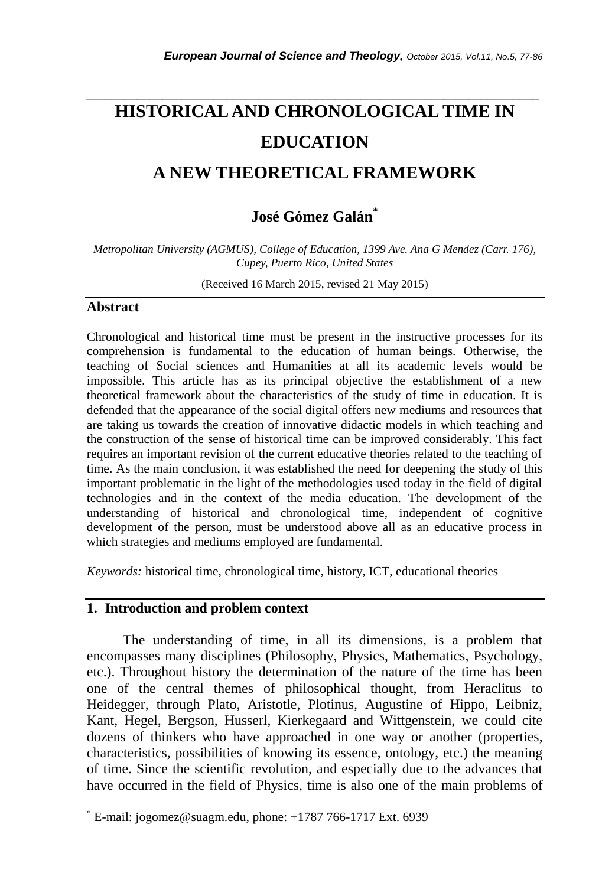# **HISTORICAL AND CHRONOLOGICAL TIME IN EDUCATION**

*\_\_\_\_\_\_\_\_\_\_\_\_\_\_\_\_\_\_\_\_\_\_\_\_\_\_\_\_\_\_\_\_\_\_\_\_\_\_\_\_\_\_\_\_\_\_\_\_\_\_\_\_\_\_\_\_\_\_\_\_\_\_\_\_\_\_\_\_\_\_\_*

## **A NEW THEORETICAL FRAMEWORK**

### **José Gómez Galán\***

*Metropolitan University (AGMUS), College of Education, 1399 Ave. Ana G Mendez (Carr. 176), Cupey, Puerto Rico, United States*

(Received 16 March 2015, revised 21 May 2015)

#### **Abstract**

l

Chronological and historical time must be present in the instructive processes for its comprehension is fundamental to the education of human beings. Otherwise, the teaching of Social sciences and Humanities at all its academic levels would be impossible. This article has as its principal objective the establishment of a new theoretical framework about the characteristics of the study of time in education. It is defended that the appearance of the social digital offers new mediums and resources that are taking us towards the creation of innovative didactic models in which teaching and the construction of the sense of historical time can be improved considerably. This fact requires an important revision of the current educative theories related to the teaching of time. As the main conclusion, it was established the need for deepening the study of this important problematic in the light of the methodologies used today in the field of digital technologies and in the context of the media education. The development of the understanding of historical and chronological time, independent of cognitive development of the person, must be understood above all as an educative process in which strategies and mediums employed are fundamental.

*Keywords:* historical time, chronological time, history, ICT, educational theories

#### **1. Introduction and problem context**

The understanding of time, in all its dimensions, is a problem that encompasses many disciplines (Philosophy, Physics, Mathematics, Psychology, etc.). Throughout history the determination of the nature of the time has been one of the central themes of philosophical thought, from Heraclitus to Heidegger, through Plato, Aristotle, Plotinus, Augustine of Hippo, Leibniz, Kant, Hegel, Bergson, Husserl, Kierkegaard and Wittgenstein, we could cite dozens of thinkers who have approached in one way or another (properties, characteristics, possibilities of knowing its essence, ontology, etc.) the meaning of time. Since the scientific revolution, and especially due to the advances that have occurred in the field of Physics, time is also one of the main problems of

E-mail: jogomez@suagm.edu, phone: +1787 766-1717 Ext. 6939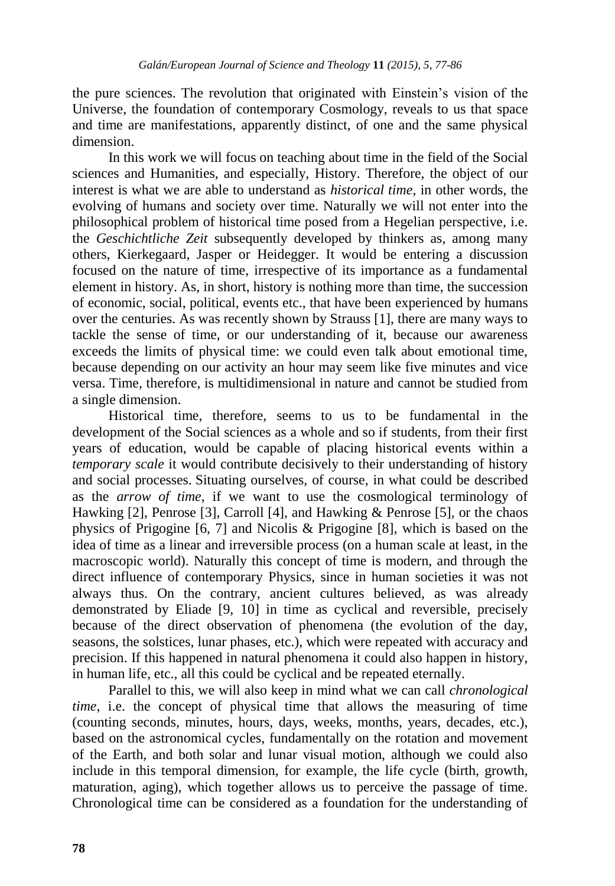the pure sciences. The revolution that originated with Einstein's vision of the Universe, the foundation of contemporary Cosmology, reveals to us that space and time are manifestations, apparently distinct, of one and the same physical dimension.

In this work we will focus on teaching about time in the field of the Social sciences and Humanities, and especially, History. Therefore, the object of our interest is what we are able to understand as *historical time*, in other words, the evolving of humans and society over time. Naturally we will not enter into the philosophical problem of historical time posed from a Hegelian perspective, i.e. the *Geschichtliche Zeit* subsequently developed by thinkers as, among many others, Kierkegaard, Jasper or Heidegger. It would be entering a discussion focused on the nature of time, irrespective of its importance as a fundamental element in history. As, in short, history is nothing more than time, the succession of economic, social, political, events etc., that have been experienced by humans over the centuries. As was recently shown by Strauss [1], there are many ways to tackle the sense of time, or our understanding of it, because our awareness exceeds the limits of physical time: we could even talk about emotional time, because depending on our activity an hour may seem like five minutes and vice versa. Time, therefore, is multidimensional in nature and cannot be studied from a single dimension.

Historical time, therefore, seems to us to be fundamental in the development of the Social sciences as a whole and so if students, from their first years of education, would be capable of placing historical events within a *temporary scale* it would contribute decisively to their understanding of history and social processes. Situating ourselves, of course, in what could be described as the *arrow of time*, if we want to use the cosmological terminology of Hawking [2], Penrose [3], Carroll [4], and Hawking & Penrose [5], or the chaos physics of Prigogine [6, 7] and Nicolis & Prigogine [8], which is based on the idea of time as a linear and irreversible process (on a human scale at least, in the macroscopic world). Naturally this concept of time is modern, and through the direct influence of contemporary Physics, since in human societies it was not always thus. On the contrary, ancient cultures believed, as was already demonstrated by Eliade [9, 10] in time as cyclical and reversible, precisely because of the direct observation of phenomena (the evolution of the day, seasons, the solstices, lunar phases, etc.), which were repeated with accuracy and precision. If this happened in natural phenomena it could also happen in history, in human life, etc., all this could be cyclical and be repeated eternally.

Parallel to this, we will also keep in mind what we can call *chronological time*, i.e. the concept of physical time that allows the measuring of time (counting seconds, minutes, hours, days, weeks, months, years, decades, etc.), based on the astronomical cycles, fundamentally on the rotation and movement of the Earth, and both solar and lunar visual motion, although we could also include in this temporal dimension, for example, the life cycle (birth, growth, maturation, aging), which together allows us to perceive the passage of time. Chronological time can be considered as a foundation for the understanding of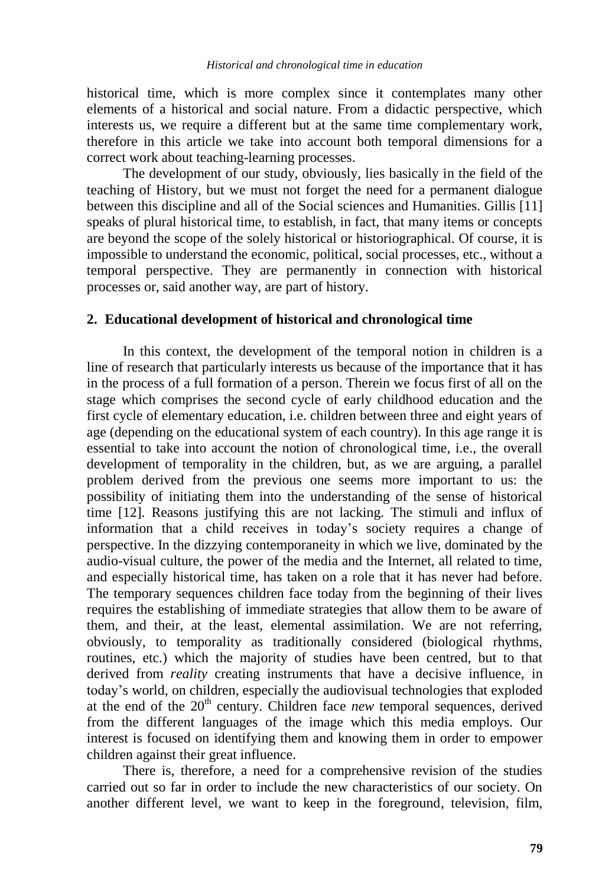historical time, which is more complex since it contemplates many other elements of a historical and social nature. From a didactic perspective, which interests us, we require a different but at the same time complementary work, therefore in this article we take into account both temporal dimensions for a correct work about teaching-learning processes.

The development of our study, obviously, lies basically in the field of the teaching of History, but we must not forget the need for a permanent dialogue between this discipline and all of the Social sciences and Humanities. Gillis [11] speaks of plural historical time, to establish, in fact, that many items or concepts are beyond the scope of the solely historical or historiographical. Of course, it is impossible to understand the economic, political, social processes, etc., without a temporal perspective. They are permanently in connection with historical processes or, said another way, are part of history.

#### **2. Educational development of historical and chronological time**

In this context, the development of the temporal notion in children is a line of research that particularly interests us because of the importance that it has in the process of a full formation of a person. Therein we focus first of all on the stage which comprises the second cycle of early childhood education and the first cycle of elementary education, i.e. children between three and eight years of age (depending on the educational system of each country). In this age range it is essential to take into account the notion of chronological time, i.e., the overall development of temporality in the children, but, as we are arguing, a parallel problem derived from the previous one seems more important to us: the possibility of initiating them into the understanding of the sense of historical time [12]. Reasons justifying this are not lacking. The stimuli and influx of information that a child receives in today's society requires a change of perspective. In the dizzying contemporaneity in which we live, dominated by the audio-visual culture, the power of the media and the Internet, all related to time, and especially historical time, has taken on a role that it has never had before. The temporary sequences children face today from the beginning of their lives requires the establishing of immediate strategies that allow them to be aware of them, and their, at the least, elemental assimilation. We are not referring, obviously, to temporality as traditionally considered (biological rhythms, routines, etc.) which the majority of studies have been centred, but to that derived from *reality* creating instruments that have a decisive influence, in today's world, on children, especially the audiovisual technologies that exploded at the end of the 20<sup>th</sup> century. Children face *new* temporal sequences, derived from the different languages of the image which this media employs. Our interest is focused on identifying them and knowing them in order to empower children against their great influence.

There is, therefore, a need for a comprehensive revision of the studies carried out so far in order to include the new characteristics of our society. On another different level, we want to keep in the foreground, television, film,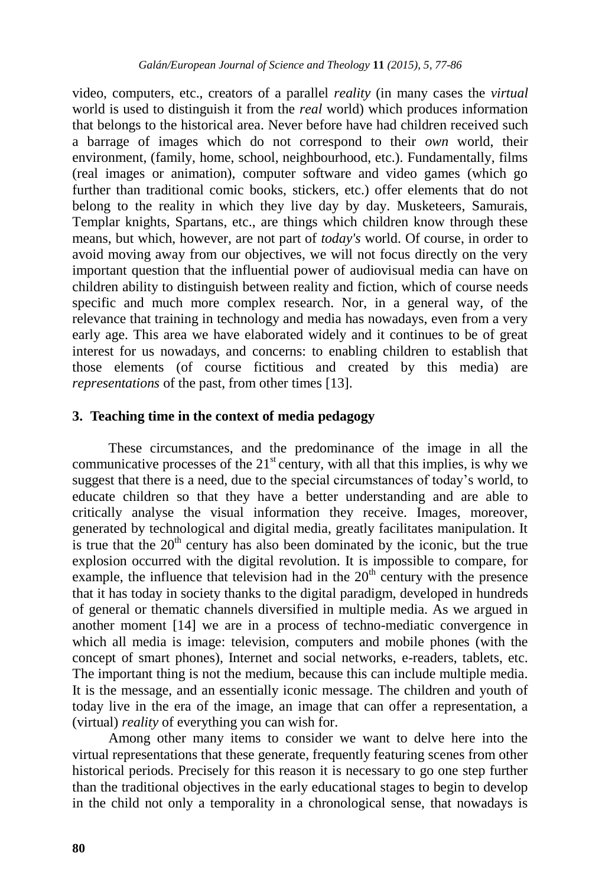video, computers, etc., creators of a parallel *reality* (in many cases the *virtual* world is used to distinguish it from the *real* world) which produces information that belongs to the historical area. Never before have had children received such a barrage of images which do not correspond to their *own* world, their environment, (family, home, school, neighbourhood, etc.). Fundamentally, films (real images or animation), computer software and video games (which go further than traditional comic books, stickers, etc.) offer elements that do not belong to the reality in which they live day by day. Musketeers, Samurais, Templar knights, Spartans, etc., are things which children know through these means, but which, however, are not part of *today's* world. Of course, in order to avoid moving away from our objectives, we will not focus directly on the very important question that the influential power of audiovisual media can have on children ability to distinguish between reality and fiction, which of course needs specific and much more complex research. Nor, in a general way, of the relevance that training in technology and media has nowadays, even from a very early age. This area we have elaborated widely and it continues to be of great interest for us nowadays, and concerns: to enabling children to establish that those elements (of course fictitious and created by this media) are *representations* of the past, from other times [13].

#### **3. Teaching time in the context of media pedagogy**

These circumstances, and the predominance of the image in all the communicative processes of the  $21<sup>st</sup>$  century, with all that this implies, is why we suggest that there is a need, due to the special circumstances of today's world, to educate children so that they have a better understanding and are able to critically analyse the visual information they receive. Images, moreover, generated by technological and digital media, greatly facilitates manipulation. It is true that the  $20<sup>th</sup>$  century has also been dominated by the iconic, but the true explosion occurred with the digital revolution. It is impossible to compare, for example, the influence that television had in the  $20<sup>th</sup>$  century with the presence that it has today in society thanks to the digital paradigm, developed in hundreds of general or thematic channels diversified in multiple media. As we argued in another moment [14] we are in a process of techno-mediatic convergence in which all media is image: television, computers and mobile phones (with the concept of smart phones), Internet and social networks, e-readers, tablets, etc. The important thing is not the medium, because this can include multiple media. It is the message, and an essentially iconic message. The children and youth of today live in the era of the image, an image that can offer a representation, a (virtual) *reality* of everything you can wish for.

Among other many items to consider we want to delve here into the virtual representations that these generate, frequently featuring scenes from other historical periods. Precisely for this reason it is necessary to go one step further than the traditional objectives in the early educational stages to begin to develop in the child not only a temporality in a chronological sense, that nowadays is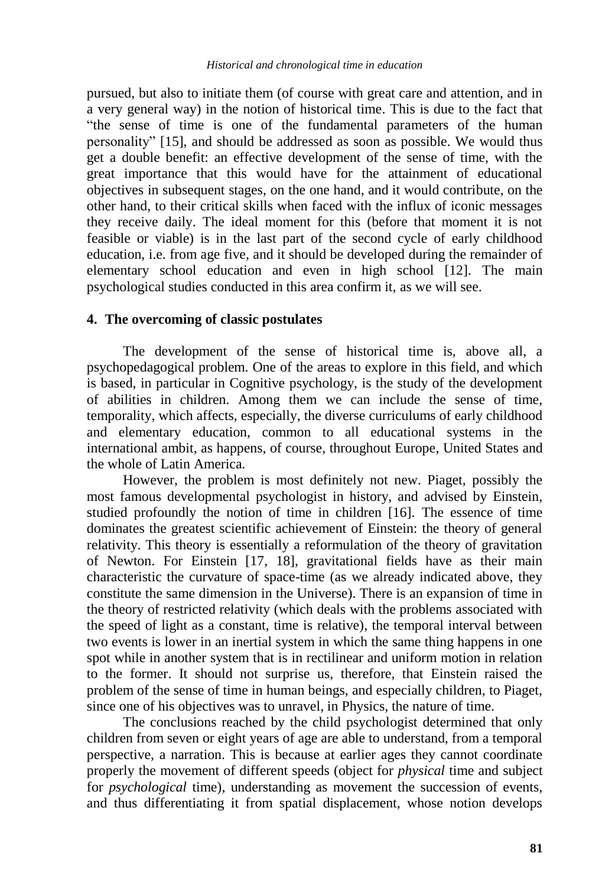pursued, but also to initiate them (of course with great care and attention, and in a very general way) in the notion of historical time. This is due to the fact that "the sense of time is one of the fundamental parameters of the human personality" [15], and should be addressed as soon as possible. We would thus get a double benefit: an effective development of the sense of time, with the great importance that this would have for the attainment of educational objectives in subsequent stages, on the one hand, and it would contribute, on the other hand, to their critical skills when faced with the influx of iconic messages they receive daily. The ideal moment for this (before that moment it is not feasible or viable) is in the last part of the second cycle of early childhood education, i.e. from age five, and it should be developed during the remainder of elementary school education and even in high school [12]. The main psychological studies conducted in this area confirm it, as we will see.

#### **4. The overcoming of classic postulates**

The development of the sense of historical time is, above all, a psychopedagogical problem. One of the areas to explore in this field, and which is based, in particular in Cognitive psychology, is the study of the development of abilities in children. Among them we can include the sense of time, temporality, which affects, especially, the diverse curriculums of early childhood and elementary education, common to all educational systems in the international ambit, as happens, of course, throughout Europe, United States and the whole of Latin America.

However, the problem is most definitely not new. Piaget, possibly the most famous developmental psychologist in history, and advised by Einstein, studied profoundly the notion of time in children [16]. The essence of time dominates the greatest scientific achievement of Einstein: the theory of general relativity. This theory is essentially a reformulation of the theory of gravitation of Newton. For Einstein [17, 18], gravitational fields have as their main characteristic the curvature of space-time (as we already indicated above, they constitute the same dimension in the Universe). There is an expansion of time in the theory of restricted relativity (which deals with the problems associated with the speed of light as a constant, time is relative), the temporal interval between two events is lower in an inertial system in which the same thing happens in one spot while in another system that is in rectilinear and uniform motion in relation to the former. It should not surprise us, therefore, that Einstein raised the problem of the sense of time in human beings, and especially children, to Piaget, since one of his objectives was to unravel, in Physics, the nature of time.

The conclusions reached by the child psychologist determined that only children from seven or eight years of age are able to understand, from a temporal perspective, a narration. This is because at earlier ages they cannot coordinate properly the movement of different speeds (object for *physical* time and subject for *psychological* time), understanding as movement the succession of events, and thus differentiating it from spatial displacement, whose notion develops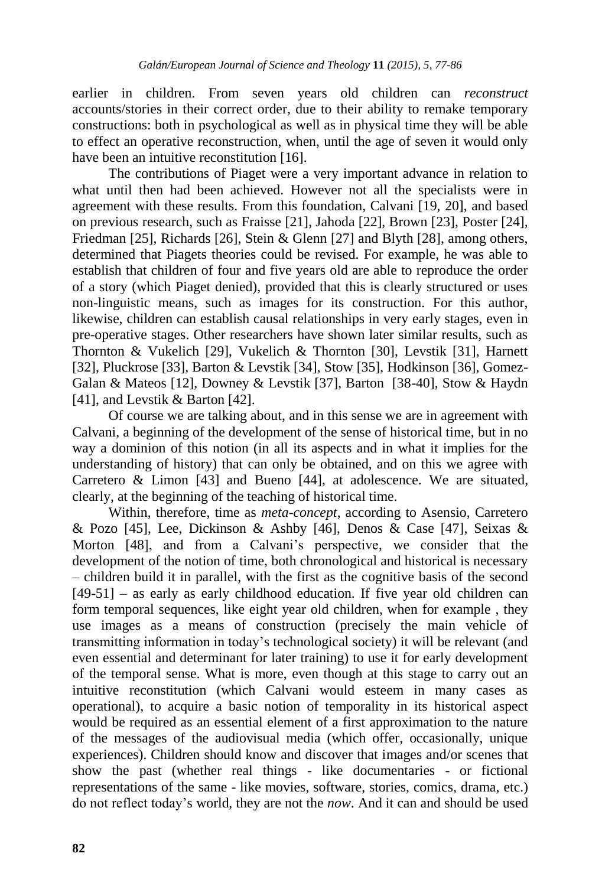earlier in children. From seven years old children can *reconstruct* accounts/stories in their correct order, due to their ability to remake temporary constructions: both in psychological as well as in physical time they will be able to effect an operative reconstruction, when, until the age of seven it would only have been an intuitive reconstitution [16].

The contributions of Piaget were a very important advance in relation to what until then had been achieved. However not all the specialists were in agreement with these results. From this foundation, Calvani [19, 20], and based on previous research, such as Fraisse [21], Jahoda [22], Brown [23], Poster [24], Friedman [25], Richards [26], Stein & Glenn [27] and Blyth [28], among others, determined that Piagets theories could be revised. For example, he was able to establish that children of four and five years old are able to reproduce the order of a story (which Piaget denied), provided that this is clearly structured or uses non-linguistic means, such as images for its construction. For this author, likewise, children can establish causal relationships in very early stages, even in pre-operative stages. Other researchers have shown later similar results, such as Thornton & Vukelich [29], Vukelich & Thornton [30], Levstik [31], Harnett [32], Pluckrose [33], Barton & Levstik [34], Stow [35], Hodkinson [36], Gomez-Galan & Mateos [12], Downey & Levstik [37], Barton [38-40], Stow & Haydn [41], and Levstik & Barton [42].

Of course we are talking about, and in this sense we are in agreement with Calvani, a beginning of the development of the sense of historical time, but in no way a dominion of this notion (in all its aspects and in what it implies for the understanding of history) that can only be obtained, and on this we agree with Carretero & Limon [43] and Bueno [44], at adolescence. We are situated, clearly, at the beginning of the teaching of historical time.

Within, therefore, time as *meta-concept*, according to Asensio, Carretero & Pozo [45], Lee, Dickinson & Ashby [46], Denos & Case [47], Seixas & Morton [48], and from a Calvani's perspective, we consider that the development of the notion of time, both chronological and historical is necessary – children build it in parallel, with the first as the cognitive basis of the second [49-51] – as early as early childhood education. If five year old children can form temporal sequences, like eight year old children, when for example , they use images as a means of construction (precisely the main vehicle of transmitting information in today's technological society) it will be relevant (and even essential and determinant for later training) to use it for early development of the temporal sense. What is more, even though at this stage to carry out an intuitive reconstitution (which Calvani would esteem in many cases as operational), to acquire a basic notion of temporality in its historical aspect would be required as an essential element of a first approximation to the nature of the messages of the audiovisual media (which offer, occasionally, unique experiences). Children should know and discover that images and/or scenes that show the past (whether real things - like documentaries - or fictional representations of the same - like movies, software, stories, comics, drama, etc.) do not reflect today's world, they are not the *now*. And it can and should be used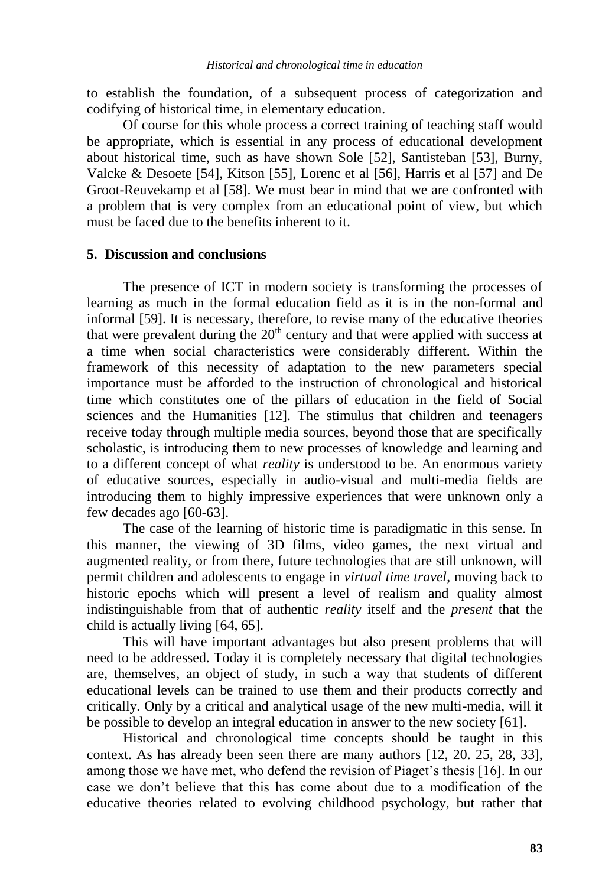to establish the foundation, of a subsequent process of categorization and codifying of historical time, in elementary education.

Of course for this whole process a correct training of teaching staff would be appropriate, which is essential in any process of educational development about historical time, such as have shown Sole [52], Santisteban [53], Burny, Valcke & Desoete [54], Kitson [55], Lorenc et al [56], Harris et al [57] and De Groot-Reuvekamp et al [58]. We must bear in mind that we are confronted with a problem that is very complex from an educational point of view, but which must be faced due to the benefits inherent to it.

#### **5. Discussion and conclusions**

The presence of ICT in modern society is transforming the processes of learning as much in the formal education field as it is in the non-formal and informal [59]. It is necessary, therefore, to revise many of the educative theories that were prevalent during the  $20<sup>th</sup>$  century and that were applied with success at a time when social characteristics were considerably different. Within the framework of this necessity of adaptation to the new parameters special importance must be afforded to the instruction of chronological and historical time which constitutes one of the pillars of education in the field of Social sciences and the Humanities [12]. The stimulus that children and teenagers receive today through multiple media sources, beyond those that are specifically scholastic, is introducing them to new processes of knowledge and learning and to a different concept of what *reality* is understood to be. An enormous variety of educative sources, especially in audio-visual and multi-media fields are introducing them to highly impressive experiences that were unknown only a few decades ago [60-63].

The case of the learning of historic time is paradigmatic in this sense. In this manner, the viewing of 3D films, video games, the next virtual and augmented reality, or from there, future technologies that are still unknown, will permit children and adolescents to engage in *virtual time travel*, moving back to historic epochs which will present a level of realism and quality almost indistinguishable from that of authentic *reality* itself and the *present* that the child is actually living [64, 65].

This will have important advantages but also present problems that will need to be addressed. Today it is completely necessary that digital technologies are, themselves, an object of study, in such a way that students of different educational levels can be trained to use them and their products correctly and critically. Only by a critical and analytical usage of the new multi-media, will it be possible to develop an integral education in answer to the new society [61].

Historical and chronological time concepts should be taught in this context. As has already been seen there are many authors [12, 20. 25, 28, 33], among those we have met, who defend the revision of Piaget's thesis [16]. In our case we don't believe that this has come about due to a modification of the educative theories related to evolving childhood psychology, but rather that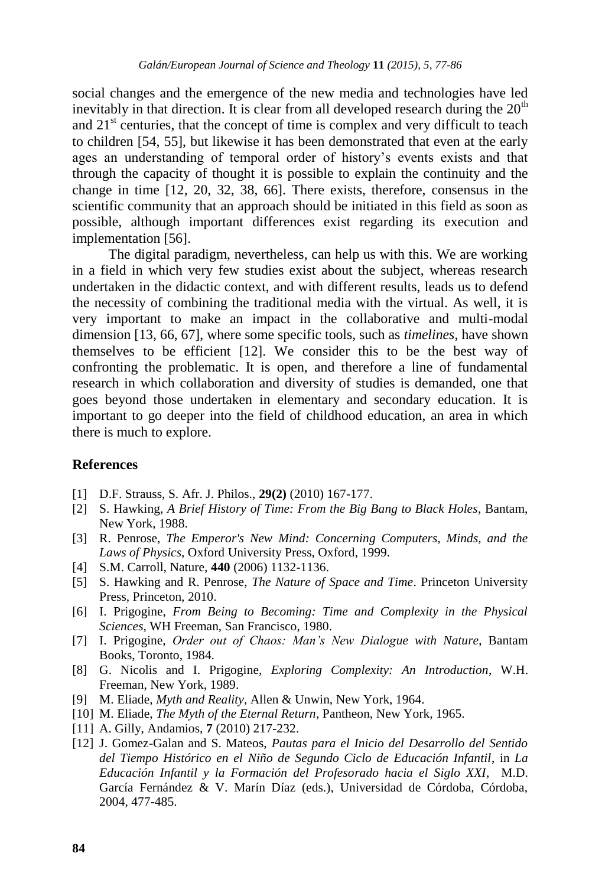social changes and the emergence of the new media and technologies have led inevitably in that direction. It is clear from all developed research during the  $20<sup>th</sup>$ and  $21<sup>st</sup>$  centuries, that the concept of time is complex and very difficult to teach to children [54, 55], but likewise it has been demonstrated that even at the early ages an understanding of temporal order of history's events exists and that through the capacity of thought it is possible to explain the continuity and the change in time [12, 20, 32, 38, 66]. There exists, therefore, consensus in the scientific community that an approach should be initiated in this field as soon as possible, although important differences exist regarding its execution and implementation [56].

The digital paradigm, nevertheless, can help us with this. We are working in a field in which very few studies exist about the subject, whereas research undertaken in the didactic context, and with different results, leads us to defend the necessity of combining the traditional media with the virtual. As well, it is very important to make an impact in the collaborative and multi-modal dimension [13, 66, 67], where some specific tools, such as *timelines*, have shown themselves to be efficient [12]. We consider this to be the best way of confronting the problematic. It is open, and therefore a line of fundamental research in which collaboration and diversity of studies is demanded, one that goes beyond those undertaken in elementary and secondary education. It is important to go deeper into the field of childhood education, an area in which there is much to explore.

#### **References**

- [1] D.F. Strauss, S. Afr. J. Philos., **29(2)** (2010) 167-177.
- [2] S. Hawking, *A Brief History of Time: From the Big Bang to Black Holes*, Bantam, New York, 1988.
- [3] R. Penrose, *The Emperor's New Mind: Concerning Computers, Minds, and the Laws of Physics*, Oxford University Press, Oxford, 1999.
- [4] S.M. Carroll, Nature, **440** (2006) 1132-1136.
- [5] S. Hawking and R. Penrose, *The Nature of Space and Time*. Princeton University Press, Princeton, 2010.
- [6] I. Prigogine, *From Being to Becoming: Time and Complexity in the Physical Sciences*, WH Freeman, San Francisco, 1980.
- [7] I. Prigogine, *Order out of Chaos: Man's New Dialogue with Nature*, Bantam Books, Toronto, 1984.
- [8] G. Nicolis and I. Prigogine, *Exploring Complexity: An Introduction*, W.H. Freeman, New York, 1989.
- [9] M. Eliade, *Myth and Reality*, Allen & Unwin, New York, 1964.
- [10] M. Eliade, *The Myth of the Eternal Return*, Pantheon, New York, 1965.
- [11] A. Gilly, Andamios, **7** (2010) 217-232.
- [12] J. Gomez-Galan and S. Mateos, *Pautas para el Inicio del Desarrollo del Sentido del Tiempo Histórico en el Niño de Segundo Ciclo de Educación Infantil*, in *La Educación Infantil y la Formación del Profesorado hacia el Siglo XXI*, M.D. García Fernández & V. Marín Díaz (eds.), Universidad de Córdoba, Córdoba, 2004, 477-485.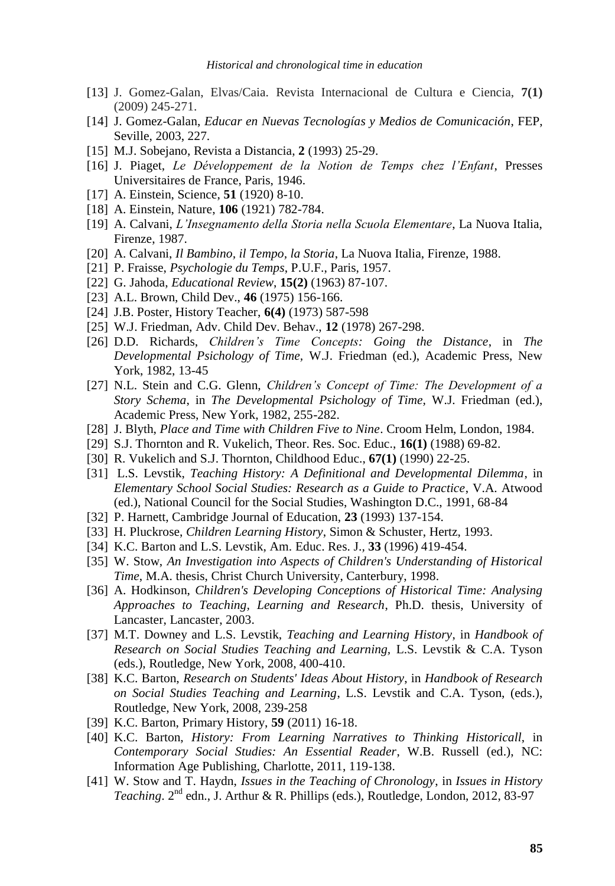- [13] J. Gomez-Galan, Elvas/Caia. Revista Internacional de Cultura e Ciencia, **7(1)** (2009) 245-271.
- [14] J. Gomez-Galan, *Educar en Nuevas Tecnologías y Medios de Comunicación*, FEP, Seville, 2003, 227.
- [15] M.J. Sobejano, Revista a Distancia, **2** (1993) 25-29.
- [16] J. Piaget, *Le Développement de la Notion de Temps chez l'Enfant*, Presses Universitaires de France, Paris, 1946.
- [17] A. Einstein, Science, **51** (1920) 8-10.
- [18] A. Einstein, Nature, **106** (1921) 782-784.
- [19] A. Calvani, *L'Insegnamento della Storia nella Scuola Elementare*, La Nuova Italia, Firenze, 1987.
- [20] A. Calvani, *Il Bambino, il Tempo, la Storia*, La Nuova Italia, Firenze, 1988.
- [21] P. Fraisse, *Psychologie du Temps*, P.U.F., Paris, 1957.
- [22] G. Jahoda, *Educational Review*, **15(2)** (1963) 87-107.
- [23] A.L. Brown, Child Dev., **46** (1975) 156-166.
- [24] J.B. Poster, History Teacher, **6(4)** (1973) 587-598
- [25] W.J. Friedman, Adv. Child Dev. Behav., **12** (1978) 267-298.
- [26] D.D. Richards, *Children's Time Concepts: Going the Distance*, in *The Developmental Psichology of Time,* W.J. Friedman (ed.), Academic Press, New York, 1982, 13-45
- [27] N.L. Stein and C.G. Glenn, *Children's Concept of Time: The Development of a Story Schema*, in *The Developmental Psichology of Time,* W.J. Friedman (ed.), Academic Press, New York, 1982, 255-282.
- [28] J. Blyth, *Place and Time with Children Five to Nine*. Croom Helm, London, 1984.
- [29] S.J. Thornton and R. Vukelich, Theor. Res. Soc. Educ., **16(1)** (1988) 69-82.
- [30] R. Vukelich and S.J. Thornton, Childhood Educ., **67(1)** (1990) 22-25.
- [31] L.S. Levstik, *Teaching History: A Definitional and Developmental Dilemma*, in *Elementary School Social Studies: Research as a Guide to Practice*, V.A. Atwood (ed.), National Council for the Social Studies, Washington D.C., 1991, 68-84
- [32] P. Harnett, Cambridge Journal of Education, **23** (1993) 137-154.
- [33] H. Pluckrose, *Children Learning History*, Simon & Schuster, Hertz, 1993.
- [34] K.C. Barton and L.S. Levstik, Am. Educ. Res. J.*,* **33** (1996) 419-454.
- [35] W. Stow, *An Investigation into Aspects of Children's Understanding of Historical Time*, M.A. thesis, Christ Church University, Canterbury, 1998.
- [36] A. Hodkinson, *Children's Developing Conceptions of Historical Time: Analysing Approaches to Teaching, Learning and Research*, Ph.D. thesis, University of Lancaster, Lancaster, 2003.
- [37] M.T. Downey and L.S. Levstik, *Teaching and Learning History*, in *Handbook of Research on Social Studies Teaching and Learning,* L.S. Levstik & C.A. Tyson (eds.), Routledge, New York, 2008, 400-410.
- [38] K.C. Barton, *Research on Students' Ideas About History*, in *Handbook of Research on Social Studies Teaching and Learning*, L.S. Levstik and C.A. Tyson, (eds.), Routledge, New York, 2008, 239-258
- [39] K.C. Barton, Primary History, **59** (2011) 16-18.
- [40] K.C. Barton, *History: From Learning Narratives to Thinking Historicall*, in *Contemporary Social Studies: An Essential Reader*, W.B. Russell (ed.), NC: Information Age Publishing, Charlotte, 2011, 119-138.
- [41] W. Stow and T. Haydn, *Issues in the Teaching of Chronology*, in *Issues in History*  Teaching. 2<sup>nd</sup> edn., J. Arthur & R. Phillips (eds.), Routledge, London, 2012, 83-97